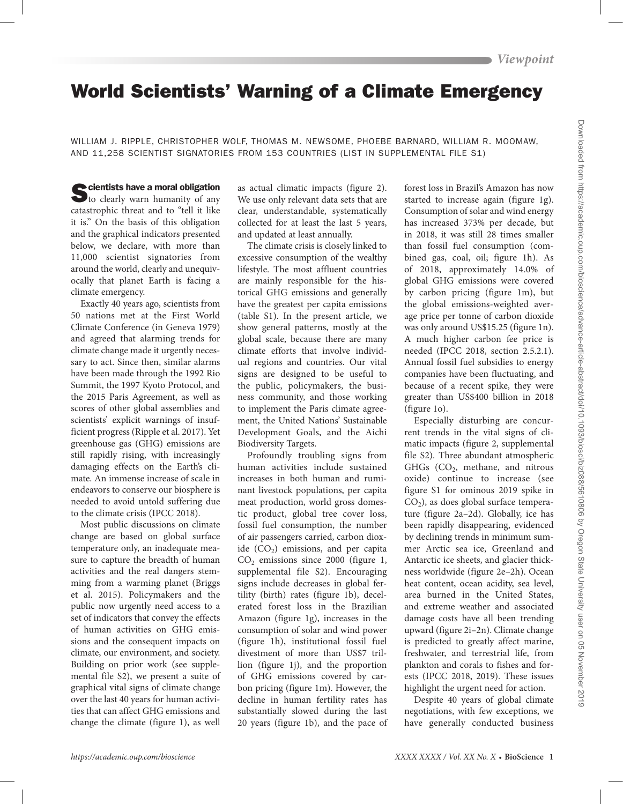# World Scientists' Warning of a Climate Emergency

WILLIAM J. RIPPLE, CHRISTOPHER WOLF, THOMAS M. NEWSOME, PHOEBE BARNARD, WILLIAM R. MOOMAW, AND 11,258 SCIENTIST SIGNATORIES FROM 153 COUNTRIES (LIST IN SUPPLEMENTAL FILE S1)

Scientists have a moral obligation<br>to clearly warn humanity of any catastrophic threat and to "tell it like it is." On the basis of this obligation and the graphical indicators presented below, we declare, with more than 11,000 scientist signatories from around the world, clearly and unequivocally that planet Earth is facing a climate emergency.

Exactly 40 years ago, scientists from 50 nations met at the First World Climate Conference (in Geneva 1979) and agreed that alarming trends for climate change made it urgently necessary to act. Since then, similar alarms have been made through the 1992 Rio Summit, the 1997 Kyoto Protocol, and the 2015 Paris Agreement, as well as scores of other global assemblies and scientists' explicit warnings of insufficient progress (Ripple et al. 2017). Yet greenhouse gas (GHG) emissions are still rapidly rising, with increasingly damaging effects on the Earth's climate. An immense increase of scale in endeavors to conserve our biosphere is needed to avoid untold suffering due to the climate crisis (IPCC 2018).

Most public discussions on climate change are based on global surface temperature only, an inadequate measure to capture the breadth of human activities and the real dangers stemming from a warming planet (Briggs et al. 2015). Policymakers and the public now urgently need access to a set of indicators that convey the effects of human activities on GHG emissions and the consequent impacts on climate, our environment, and society. Building on prior work (see supplemental file S2), we present a suite of graphical vital signs of climate change over the last 40 years for human activities that can affect GHG emissions and change the climate (figure 1), as well

as actual climatic impacts (figure 2). We use only relevant data sets that are clear, understandable, systematically collected for at least the last 5 years, and updated at least annually.

The climate crisis is closely linked to excessive consumption of the wealthy lifestyle. The most affluent countries are mainly responsible for the historical GHG emissions and generally have the greatest per capita emissions (table S1). In the present article, we show general patterns, mostly at the global scale, because there are many climate efforts that involve individual regions and countries. Our vital signs are designed to be useful to the public, policymakers, the business community, and those working to implement the Paris climate agreement, the United Nations' Sustainable Development Goals, and the Aichi Biodiversity Targets.

Profoundly troubling signs from human activities include sustained increases in both human and ruminant livestock populations, per capita meat production, world gross domestic product, global tree cover loss, fossil fuel consumption, the number of air passengers carried, carbon dioxide  $(CO<sub>2</sub>)$  emissions, and per capita  $CO<sub>2</sub>$  emissions since 2000 (figure 1, supplemental file S2). Encouraging signs include decreases in global fertility (birth) rates (figure 1b), decelerated forest loss in the Brazilian Amazon (figure 1g), increases in the consumption of solar and wind power (figure 1h), institutional fossil fuel divestment of more than US\$7 trillion (figure 1j), and the proportion of GHG emissions covered by carbon pricing (figure 1m). However, the decline in human fertility rates has substantially slowed during the last 20 years (figure 1b), and the pace of forest loss in Brazil's Amazon has now started to increase again (figure 1g). Consumption of solar and wind energy has increased 373% per decade, but in 2018, it was still 28 times smaller than fossil fuel consumption (combined gas, coal, oil; figure 1h). As of 2018, approximately 14.0% of global GHG emissions were covered by carbon pricing (figure 1m), but the global emissions-weighted average price per tonne of carbon dioxide was only around US\$15.25 (figure 1n). A much higher carbon fee price is needed (IPCC 2018, section 2.5.2.1). Annual fossil fuel subsidies to energy companies have been fluctuating, and because of a recent spike, they were greater than US\$400 billion in 2018 (figure 1o).

Especially disturbing are concurrent trends in the vital signs of climatic impacts (figure 2, supplemental file S2). Three abundant atmospheric GHGs  $(CO<sub>2</sub>)$ , methane, and nitrous oxide) continue to increase (see figure S1 for ominous 2019 spike in  $CO<sub>2</sub>$ ), as does global surface temperature (figure 2a–2d). Globally, ice has been rapidly disappearing, evidenced by declining trends in minimum summer Arctic sea ice, Greenland and Antarctic ice sheets, and glacier thickness worldwide (figure 2e–2h). Ocean heat content, ocean acidity, sea level, area burned in the United States, and extreme weather and associated damage costs have all been trending upward (figure 2i–2n). Climate change is predicted to greatly affect marine, freshwater, and terrestrial life, from plankton and corals to fishes and forests (IPCC 2018, 2019). These issues highlight the urgent need for action.

Despite 40 years of global climate negotiations, with few exceptions, we have generally conducted business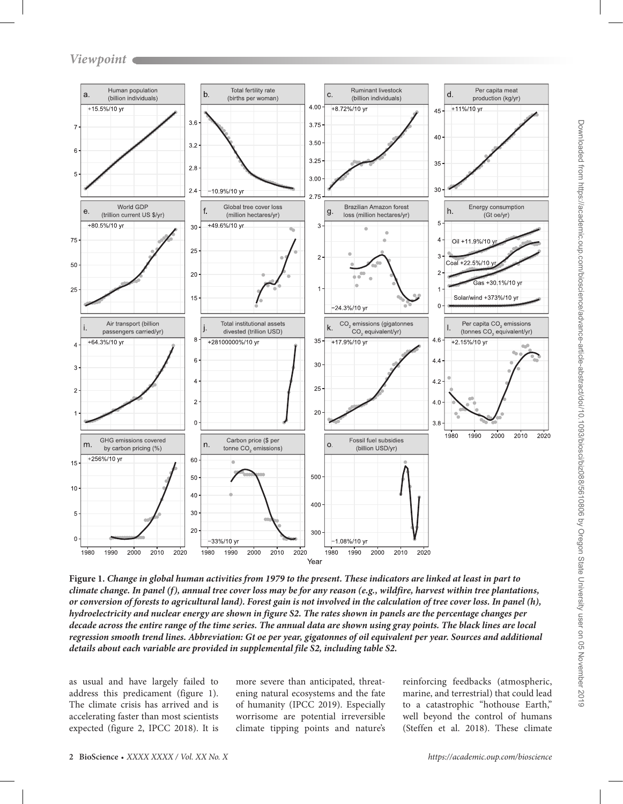

**Figure 1.** *Change in global human activities from 1979 to the present. These indicators are linked at least in part to climate change. In panel (f), annual tree cover loss may be for any reason (e.g., wildfire, harvest within tree plantations, or conversion of forests to agricultural land). Forest gain is not involved in the calculation of tree cover loss. In panel (h), hydroelectricity and nuclear energy are shown in figure S2. The rates shown in panels are the percentage changes per decade across the entire range of the time series. The annual data are shown using gray points. The black lines are local regression smooth trend lines. Abbreviation: Gt oe per year, gigatonnes of oil equivalent per year. Sources and additional details about each variable are provided in supplemental file S2, including table S2.*

as usual and have largely failed to address this predicament (figure 1). The climate crisis has arrived and is accelerating faster than most scientists expected (figure 2, IPCC 2018). It is more severe than anticipated, threatening natural ecosystems and the fate of humanity (IPCC 2019). Especially worrisome are potential irreversible climate tipping points and nature's

reinforcing feedbacks (atmospheric, marine, and terrestrial) that could lead to a catastrophic "hothouse Earth," well beyond the control of humans (Steffen et al. 2018). These climate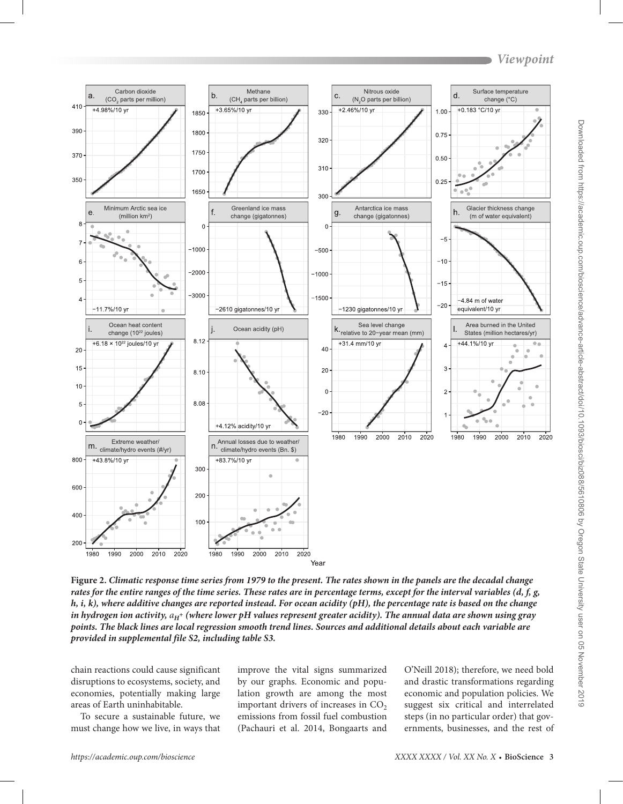

**Figure 2.** *Climatic response time series from 1979 to the present. The rates shown in the panels are the decadal change rates for the entire ranges of the time series. These rates are in percentage terms, except for the interval variables (d, f, g, h, i, k), where additive changes are reported instead. For ocean acidity (pH), the percentage rate is based on the change in hydrogen ion activity,*  $a_H$ *<sup>+</sup> (where lower pH values represent greater acidity). The annual data are shown using gray points. The black lines are local regression smooth trend lines. Sources and additional details about each variable are provided in supplemental file S2, including table S3.*

chain reactions could cause significant disruptions to ecosystems, society, and economies, potentially making large areas of Earth uninhabitable.

To secure a sustainable future, we must change how we live, in ways that

improve the vital signs summarized by our graphs. Economic and population growth are among the most important drivers of increases in  $CO<sub>2</sub>$ emissions from fossil fuel combustion (Pachauri et al. 2014, Bongaarts and

O'Neill 2018); therefore, we need bold and drastic transformations regarding economic and population policies. We suggest six critical and interrelated steps (in no particular order) that governments, businesses, and the rest of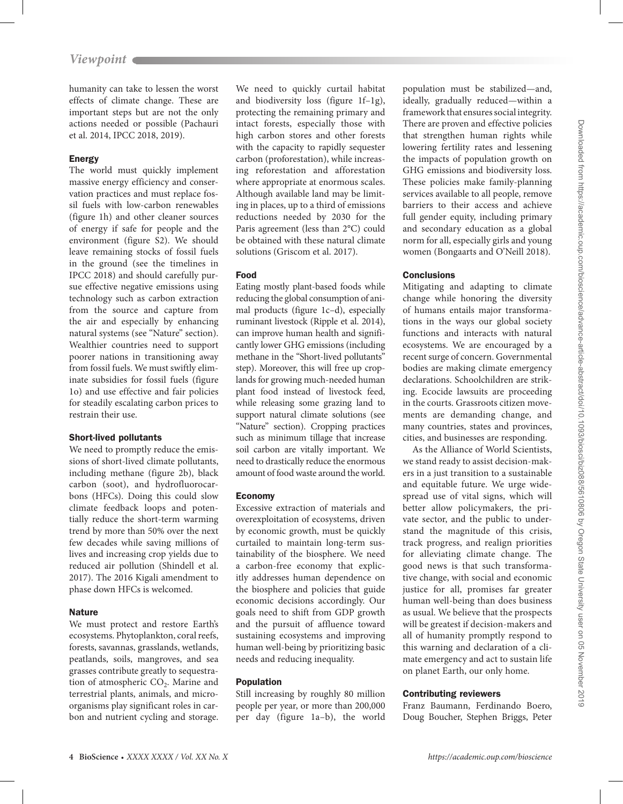humanity can take to lessen the worst effects of climate change. These are important steps but are not the only actions needed or possible (Pachauri et al. 2014, IPCC 2018, 2019).

# Energy

The world must quickly implement massive energy efficiency and conservation practices and must replace fossil fuels with low-carbon renewables (figure 1h) and other cleaner sources of energy if safe for people and the environment (figure S2). We should leave remaining stocks of fossil fuels in the ground (see the timelines in IPCC 2018) and should carefully pursue effective negative emissions using technology such as carbon extraction from the source and capture from the air and especially by enhancing natural systems (see "Nature" section). Wealthier countries need to support poorer nations in transitioning away from fossil fuels. We must swiftly eliminate subsidies for fossil fuels (figure 1o) and use effective and fair policies for steadily escalating carbon prices to restrain their use.

# Short-lived pollutants

We need to promptly reduce the emissions of short-lived climate pollutants, including methane (figure 2b), black carbon (soot), and hydrofluorocarbons (HFCs). Doing this could slow climate feedback loops and potentially reduce the short-term warming trend by more than 50% over the next few decades while saving millions of lives and increasing crop yields due to reduced air pollution (Shindell et al. 2017). The 2016 Kigali amendment to phase down HFCs is welcomed.

# **Nature**

We must protect and restore Earth's ecosystems. Phytoplankton, coral reefs, forests, savannas, grasslands, wetlands, peatlands, soils, mangroves, and sea grasses contribute greatly to sequestration of atmospheric  $CO<sub>2</sub>$ . Marine and terrestrial plants, animals, and microorganisms play significant roles in carbon and nutrient cycling and storage.

We need to quickly curtail habitat and biodiversity loss (figure 1f–1g), protecting the remaining primary and intact forests, especially those with high carbon stores and other forests with the capacity to rapidly sequester carbon (proforestation), while increasing reforestation and afforestation where appropriate at enormous scales. Although available land may be limiting in places, up to a third of emissions reductions needed by 2030 for the Paris agreement (less than 2°C) could be obtained with these natural climate solutions (Griscom et al. 2017).

# Food

Eating mostly plant-based foods while reducing the global consumption of animal products (figure 1c–d), especially ruminant livestock (Ripple et al. 2014), can improve human health and significantly lower GHG emissions (including methane in the "Short-lived pollutants" step). Moreover, this will free up croplands for growing much-needed human plant food instead of livestock feed, while releasing some grazing land to support natural climate solutions (see "Nature" section). Cropping practices such as minimum tillage that increase soil carbon are vitally important. We need to drastically reduce the enormous amount of food waste around the world.

# Economy

Excessive extraction of materials and overexploitation of ecosystems, driven by economic growth, must be quickly curtailed to maintain long-term sustainability of the biosphere. We need a carbon-free economy that explicitly addresses human dependence on the biosphere and policies that guide economic decisions accordingly. Our goals need to shift from GDP growth and the pursuit of affluence toward sustaining ecosystems and improving human well-being by prioritizing basic needs and reducing inequality.

# Population

Still increasing by roughly 80 million people per year, or more than 200,000 per day (figure 1a–b), the world

population must be stabilized—and, ideally, gradually reduced—within a framework that ensures social integrity. There are proven and effective policies that strengthen human rights while lowering fertility rates and lessening the impacts of population growth on GHG emissions and biodiversity loss. These policies make family-planning services available to all people, remove barriers to their access and achieve full gender equity, including primary and secondary education as a global norm for all, especially girls and young women (Bongaarts and O'Neill 2018).

# **Conclusions**

Mitigating and adapting to climate change while honoring the diversity of humans entails major transformations in the ways our global society functions and interacts with natural ecosystems. We are encouraged by a recent surge of concern. Governmental bodies are making climate emergency declarations. Schoolchildren are striking. Ecocide lawsuits are proceeding in the courts. Grassroots citizen movements are demanding change, and many countries, states and provinces, cities, and businesses are responding.

As the Alliance of World Scientists, we stand ready to assist decision-makers in a just transition to a sustainable and equitable future. We urge widespread use of vital signs, which will better allow policymakers, the private sector, and the public to understand the magnitude of this crisis, track progress, and realign priorities for alleviating climate change. The good news is that such transformative change, with social and economic justice for all, promises far greater human well-being than does business as usual. We believe that the prospects will be greatest if decision-makers and all of humanity promptly respond to this warning and declaration of a climate emergency and act to sustain life on planet Earth, our only home.

# Contributing reviewers

Franz Baumann, Ferdinando Boero, Doug Boucher, Stephen Briggs, Peter